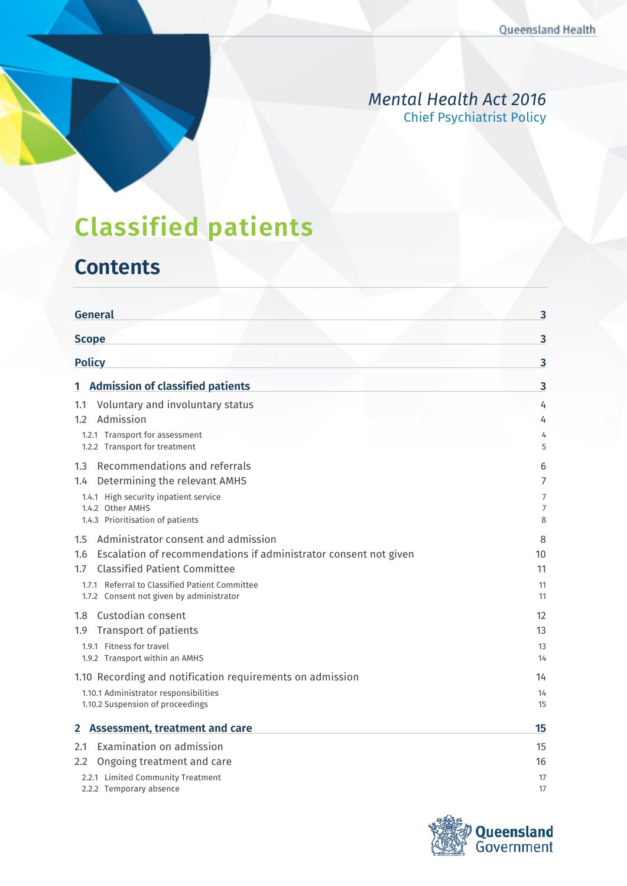### *Mental Health Act 2016* Chief Psychiatrist Policy

# **Classified patients**

# **Contents**

| <b>General</b>                                                          | 3        |
|-------------------------------------------------------------------------|----------|
| <b>Scope</b>                                                            | 3        |
| <b>Policy</b>                                                           | 3        |
| <b>Admission of classified patients</b><br>1                            | 3        |
| Voluntary and involuntary status<br>1.1                                 | 4        |
| Admission<br>1.2                                                        | 4        |
| 1.2.1 Transport for assessment<br>1.2.2 Transport for treatment         | 4<br>5   |
| Recommendations and referrals<br>1.3                                    | 6        |
| Determining the relevant AMHS<br>1.4                                    | 7        |
| 1.4.1 High security inpatient service<br>1.4.2 Other AMHS               | 7        |
| 1.4.3 Prioritisation of patients                                        | 7<br>8   |
| Administrator consent and admission<br>1.5                              | 8        |
| Escalation of recommendations if administrator consent not given<br>1.6 | 10       |
| <b>Classified Patient Committee</b><br>1.7                              | 11       |
| 1.7.1 Referral to Classified Patient Committee                          | 11       |
| 1.7.2 Consent not given by administrator                                | 11       |
| Custodian consent<br>1.8                                                | 12       |
| Transport of patients<br>1.9                                            | 13       |
| 1.9.1 Fitness for travel<br>1.9.2 Transport within an AMHS              | 13<br>14 |
| 1.10 Recording and notification requirements on admission               | 14       |
| 1.10.1 Administrator responsibilities                                   | 14       |
| 1.10.2 Suspension of proceedings                                        | 15       |
| <b>Assessment, treatment and care</b><br>$\mathbf{2}$                   | 15       |
| Examination on admission<br>2.1                                         | 15       |
| Ongoing treatment and care<br>2.2                                       | 16       |
| 2.2.1 Limited Community Treatment<br>2.2.2 Temporary absence            | 17<br>17 |

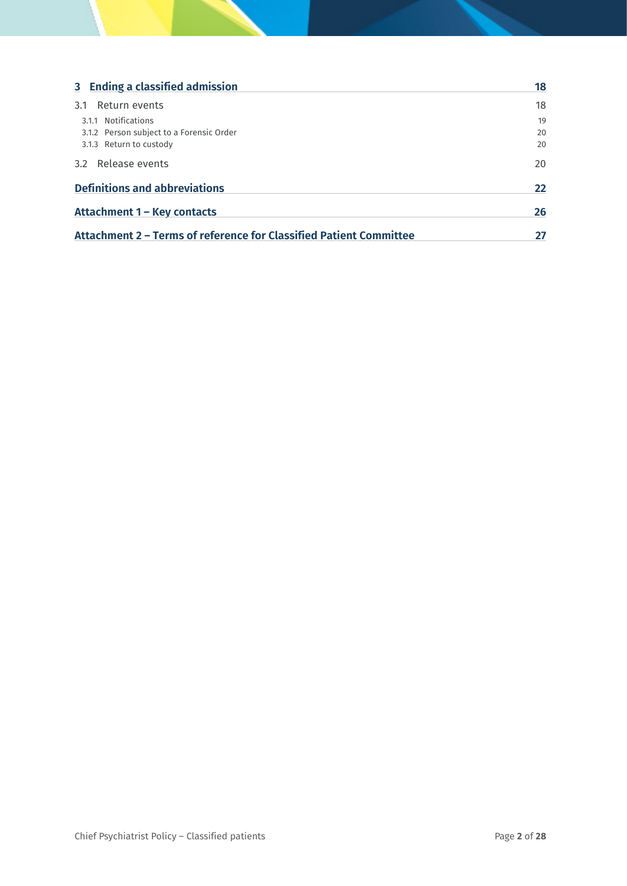| 3 Ending a classified admission                                    | 18 |
|--------------------------------------------------------------------|----|
| Return events<br>3.1                                               | 18 |
| 3.1.1 Notifications                                                | 19 |
| 3.1.2 Person subject to a Forensic Order                           | 20 |
| 3.1.3 Return to custody                                            | 20 |
| 3.2 Release events                                                 | 20 |
| <b>Definitions and abbreviations</b>                               |    |
| Attachment 1 - Key contacts                                        |    |
| Attachment 2 - Terms of reference for Classified Patient Committee |    |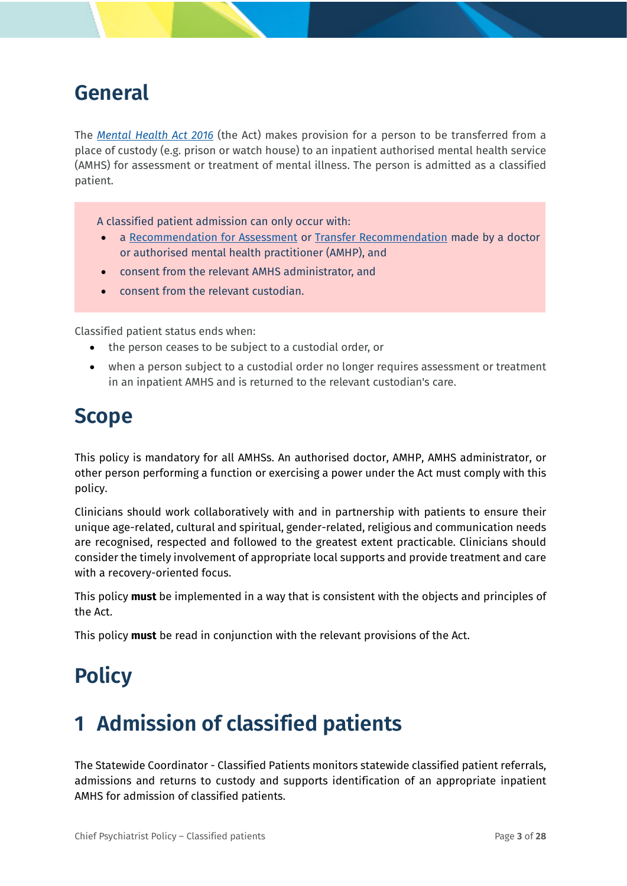## <span id="page-2-0"></span>**General**

The *[Mental Health Act 2016](https://www.legislation.qld.gov.au/view/html/inforce/current/act-2016-005)* (the Act) makes provision for a person to be transferred from a place of custody (e.g. prison or watch house) to an inpatient authorised mental health service (AMHS) for assessment or treatment of mental illness. The person is admitted as a classified patient.

A classified patient admission can only occur with:

- a [Recommendation for Assessment](https://www.health.qld.gov.au/?a=574012) or [Transfer Recommendation](https://www.health.qld.gov.au/__data/assets/pdf_file/0017/641051/PDF_Transfer-Recommendation-CP.pdf) made by a doctor or authorised mental health practitioner (AMHP), and
- consent from the relevant AMHS administrator, and
- consent from the relevant custodian.

Classified patient status ends when:

- the person ceases to be subject to a custodial order, or
- when a person subject to a custodial order no longer requires assessment or treatment in an inpatient AMHS and is returned to the relevant custodian's care.

## <span id="page-2-1"></span>**Scope**

This policy is mandatory for all AMHSs. An authorised doctor, AMHP, AMHS administrator, or other person performing a function or exercising a power under the Act must comply with this policy.

Clinicians should work collaboratively with and in partnership with patients to ensure their unique age-related, cultural and spiritual, gender-related, religious and communication needs are recognised, respected and followed to the greatest extent practicable. Clinicians should consider the timely involvement of appropriate local supports and provide treatment and care with a recovery-oriented focus.

This policy **must** be implemented in a way that is consistent with the objects and principles of the Act.

<span id="page-2-2"></span>This policy **must** be read in conjunction with the relevant provisions of the Act.

## **Policy**

# <span id="page-2-3"></span>**1 Admission of classified patients**

The Statewide Coordinator - Classified Patients monitors statewide classified patient referrals, admissions and returns to custody and supports identification of an appropriate inpatient AMHS for admission of classified patients.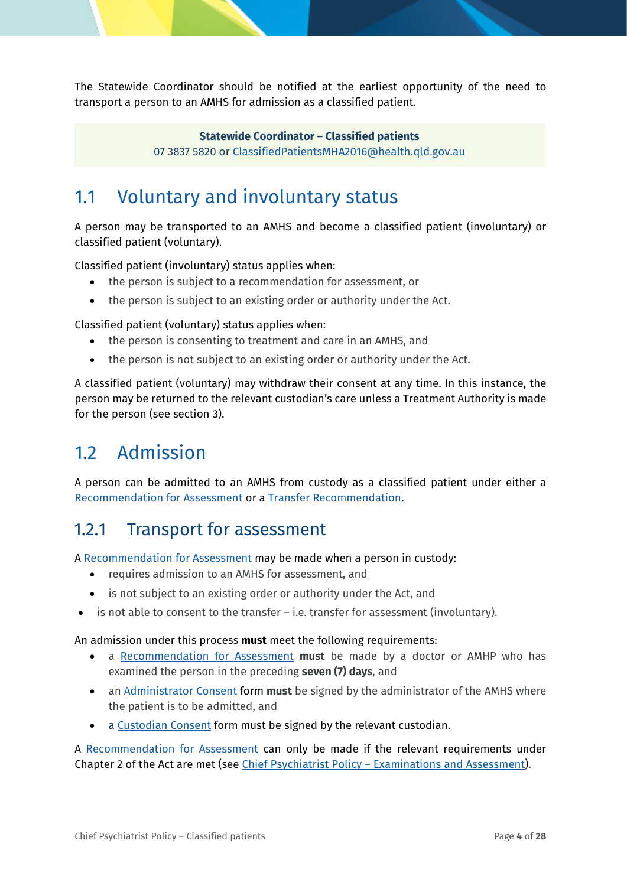The Statewide Coordinator should be notified at the earliest opportunity of the need to transport a person to an AMHS for admission as a classified patient.

> **Statewide Coordinator – Classified patients** 07 3837 5820 or [ClassifiedPatientsMHA2016@health.qld.gov.au](mailto:ClassifiedPatientsMHA2016@health.qld.gov.au)

## <span id="page-3-0"></span>1.1 Voluntary and involuntary status

A person may be transported to an AMHS and become a classified patient (involuntary) or classified patient (voluntary).

Classified patient (involuntary) status applies when:

- the person is subject to a recommendation for assessment, or
- the person is subject to an existing order or authority under the Act.

Classified patient (voluntary) status applies when:

- the person is consenting to treatment and care in an AMHS, and
- the person is not subject to an existing order or authority under the Act.

A classified patient (voluntary) may withdraw their consent at any time. In this instance, the person may be returned to the relevant custodian's care unless a Treatment Authority is made for the person (see section [3\)](#page-17-0).

## <span id="page-3-1"></span>1.2 Admission

A person can be admitted to an AMHS from custody as a classified patient under either a [Recommendation for Assessment](https://www.health.qld.gov.au/__data/assets/pdf_file/0019/574012/f_recommend_assess.pdf) or a [Transfer Recommendation.](https://www.health.qld.gov.au/__data/assets/pdf_file/0016/574000/f_cp_transfer.pdf)

### <span id="page-3-2"></span>1.2.1 Transport for assessment

A [Recommendation for Assessment](https://www.health.qld.gov.au/__data/assets/pdf_file/0019/574012/f_recommend_assess.pdf) may be made when a person in custody:

- requires admission to an AMHS for assessment, and
- is not subject to an existing order or authority under the Act, and
- is not able to consent to the transfer  $-$  i.e. transfer for assessment (involuntary).

#### An admission under this process **must** meet the following requirements:

- a [Recommendation for Assessment](https://www.health.qld.gov.au/__data/assets/pdf_file/0019/574012/f_recommend_assess.pdf) **must** be made by a doctor or AMHP who has examined the person in the preceding **seven (7) days**, and
- a[n Administrator Consent](https://www.health.qld.gov.au/__data/assets/pdf_file/0019/574012/f_recommend_assess.pdf) form **must** be signed by the administrator of the AMHS where the patient is to be admitted, and
- a [Custodian Consent](https://www.health.qld.gov.au/__data/assets/pdf_file/0020/574022/f_cp_custod_consent.pdf) form must be signed by the relevant custodian.

A [Recommendation for Assessment](https://www.health.qld.gov.au/__data/assets/pdf_file/0019/574012/f_recommend_assess.pdf) can only be made if the relevant requirements under Chapter 2 of the Act are met (see *Chief Psychiatrist Policy - Examinations and Assessment*).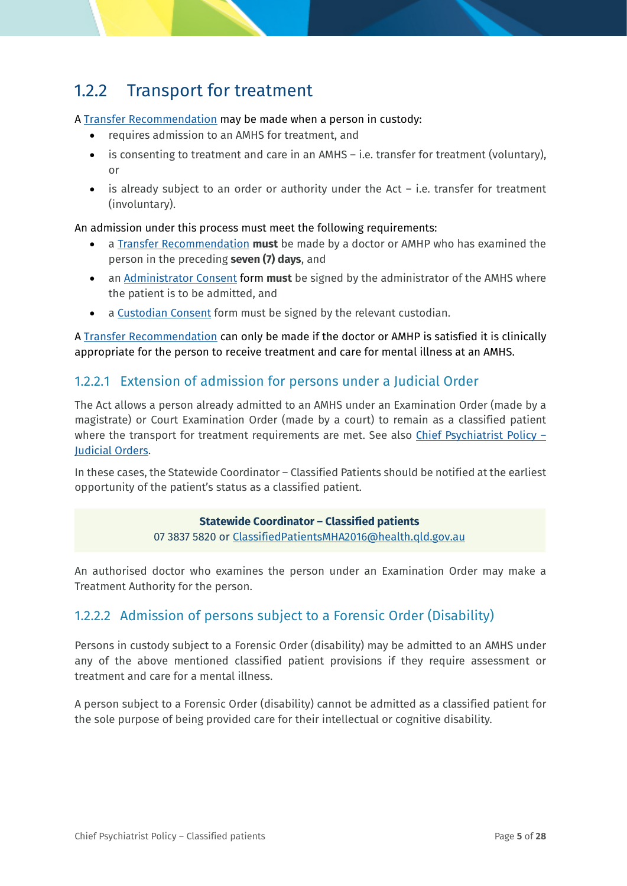## <span id="page-4-0"></span>1.2.2 Transport for treatment

#### A [Transfer Recommendation](https://www.health.qld.gov.au/__data/assets/pdf_file/0016/574000/f_cp_transfer.pdf) may be made when a person in custody:

- requires admission to an AMHS for treatment, and
- is consenting to treatment and care in an AMHS i.e. transfer for treatment (voluntary), or
- is already subject to an order or authority under the Act  $-$  i.e. transfer for treatment (involuntary).

#### An admission under this process must meet the following requirements:

- a [Transfer Recommendation](https://www.health.qld.gov.au/__data/assets/pdf_file/0016/574000/f_cp_transfer.pdf) **must** be made by a doctor or AMHP who has examined the person in the preceding **seven (7) days**, and
- a[n Administrator Consent](https://www.health.qld.gov.au/__data/assets/pdf_file/0019/574012/f_recommend_assess.pdf) form **must** be signed by the administrator of the AMHS where the patient is to be admitted, and
- a [Custodian Consent](https://www.health.qld.gov.au/__data/assets/pdf_file/0020/574022/f_cp_custod_consent.pdf) form must be signed by the relevant custodian.

A [Transfer Recommendation](https://healthqld.sharepoint.com/teams/DoH-CED-OCP/Core%20Functions/Chief%20Psychiatrist%20Policy%20%E2%80%93%20Examinations%20and%20Assessment) can only be made if the doctor or AMHP is satisfied it is clinically appropriate for the person to receive treatment and care for mental illness at an AMHS.

#### 1.2.2.1 Extension of admission for persons under a Judicial Order

The Act allows a person already admitted to an AMHS under an Examination Order (made by a magistrate) or Court Examination Order (made by a court) to remain as a classified patient where the transport for treatment requirements are met. See also Chief Psychiatrist Policy -[Judicial Orders.](https://www.health.qld.gov.au/__data/assets/pdf_file/0031/636844/cpp_judicial_orders.pdf)

In these cases, the Statewide Coordinator – Classified Patients should be notified at the earliest opportunity of the patient's status as a classified patient.

#### **Statewide Coordinator – Classified patients** 07 3837 5820 or [ClassifiedPatientsMHA2016@health.qld.gov.au](mailto:ClassifiedPatientsMHA2016@health.qld.gov.au)

An authorised doctor who examines the person under an Examination Order may make a Treatment Authority for the person.

#### 1.2.2.2 Admission of persons subject to a Forensic Order (Disability)

Persons in custody subject to a Forensic Order (disability) may be admitted to an AMHS under any of the above mentioned classified patient provisions if they require assessment or treatment and care for a mental illness.

A person subject to a Forensic Order (disability) cannot be admitted as a classified patient for the sole purpose of being provided care for their intellectual or cognitive disability.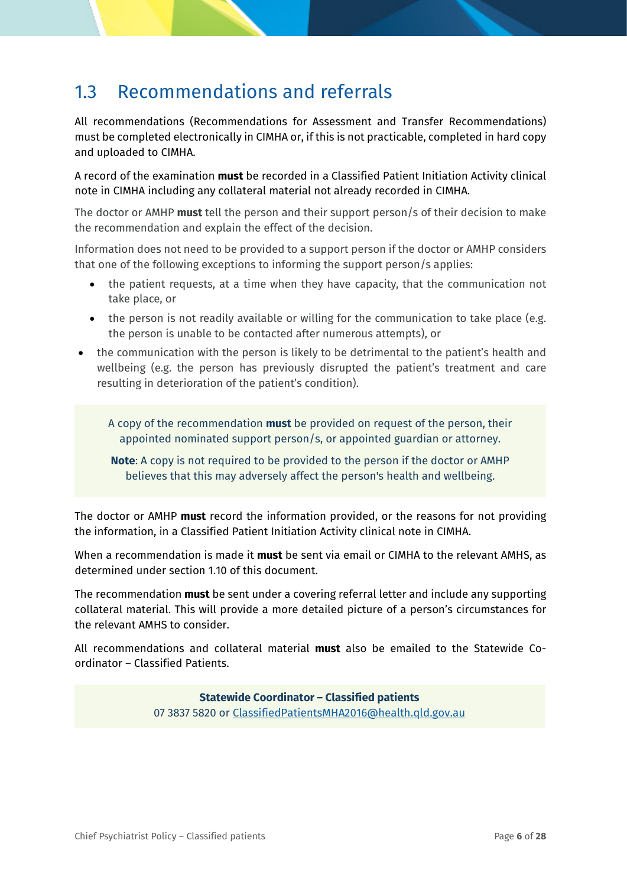## <span id="page-5-0"></span>1.3 Recommendations and referrals

All recommendations (Recommendations for Assessment and Transfer Recommendations) must be completed electronically in CIMHA or, if this is not practicable, completed in hard copy and uploaded to CIMHA.

A record of the examination **must** be recorded in a Classified Patient Initiation Activity clinical note in CIMHA including any collateral material not already recorded in CIMHA.

The doctor or AMHP **must** tell the person and their support person/s of their decision to make the recommendation and explain the effect of the decision.

Information does not need to be provided to a support person if the doctor or AMHP considers that one of the following exceptions to informing the support person/s applies:

- the patient requests, at a time when they have capacity, that the communication not take place, or
- the person is not readily available or willing for the communication to take place (e.g. the person is unable to be contacted after numerous attempts), or
- the communication with the person is likely to be detrimental to the patient's health and wellbeing (e.g. the person has previously disrupted the patient's treatment and care resulting in deterioration of the patient's condition).

A copy of the recommendation **must** be provided on request of the person, their appointed nominated support person/s, or appointed guardian or attorney.

**Note**: A copy is not required to be provided to the person if the doctor or AMHP believes that this may adversely affect the person's health and wellbeing.

The doctor or AMHP **must** record the information provided, or the reasons for not providing the information, in a Classified Patient Initiation Activity clinical note in CIMHA.

When a recommendation is made it **must** be sent via email or CIMHA to the relevant AMHS, as determined under section [1.10](#page-13-1) of this document.

The recommendation **must** be sent under a covering referral letter and include any supporting collateral material. This will provide a more detailed picture of a person's circumstances for the relevant AMHS to consider.

All recommendations and collateral material **must** also be emailed to the Statewide Coordinator – Classified Patients.

> **Statewide Coordinator – Classified patients** 07 3837 5820 or [ClassifiedPatientsMHA2016@health.qld.gov.au](mailto:ClassifiedPatientsMHA2016@health.qld.gov.au)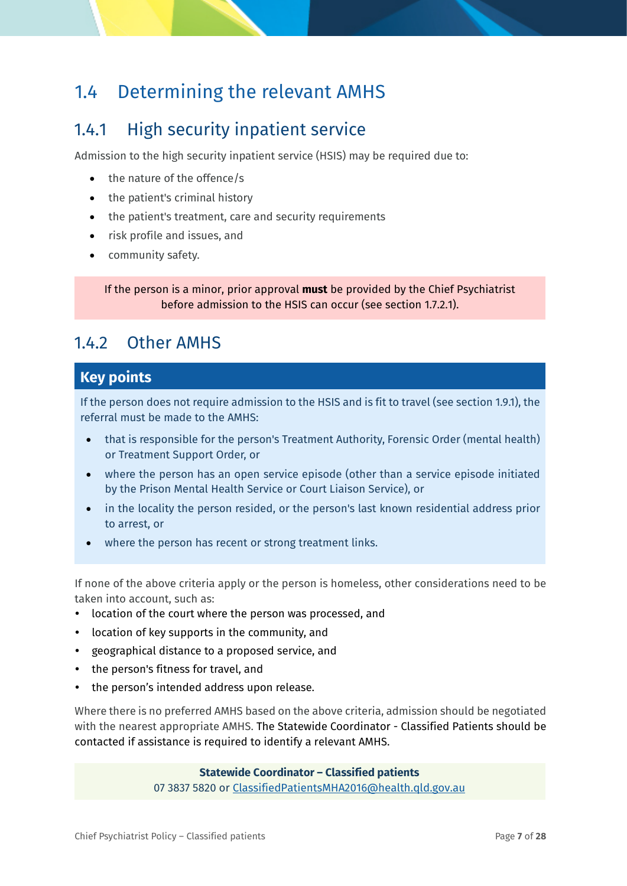## <span id="page-6-0"></span>1.4 Determining the relevant AMHS

## <span id="page-6-1"></span>1.4.1 High security inpatient service

Admission to the high security inpatient service (HSIS) may be required due to:

- the nature of the offence/s
- the patient's criminal history
- the patient's treatment, care and security requirements
- risk profile and issues, and
- community safety.

If the person is a minor, prior approval **must** be provided by the Chief Psychiatrist before admission to the HSIS can occur (see section [1.7.2.1\)](#page-11-1).

### <span id="page-6-2"></span>1.4.2 Other AMHS

### **Key points**

If the person does not require admission to the HSIS and is fit to travel (see sectio[n 1.9.1\)](#page-12-1), the referral must be made to the AMHS:

- that is responsible for the person's Treatment Authority, Forensic Order (mental health) or Treatment Support Order, or
- where the person has an open service episode (other than a service episode initiated by the Prison Mental Health Service or Court Liaison Service), or
- in the locality the person resided, or the person's last known residential address prior to arrest, or
- where the person has recent or strong treatment links.

If none of the above criteria apply or the person is homeless, other considerations need to be taken into account, such as:

- location of the court where the person was processed, and
- location of key supports in the community, and
- geographical distance to a proposed service, and
- the person's fitness for travel, and
- the person's intended address upon release.

Where there is no preferred AMHS based on the above criteria, admission should be negotiated with the nearest appropriate AMHS. The Statewide Coordinator - Classified Patients should be contacted if assistance is required to identify a relevant AMHS.

> **Statewide Coordinator – Classified patients** 07 3837 5820 or [ClassifiedPatientsMHA2016@health.qld.gov.au](mailto:ClassifiedPatientsMHA2016@health.qld.gov.au)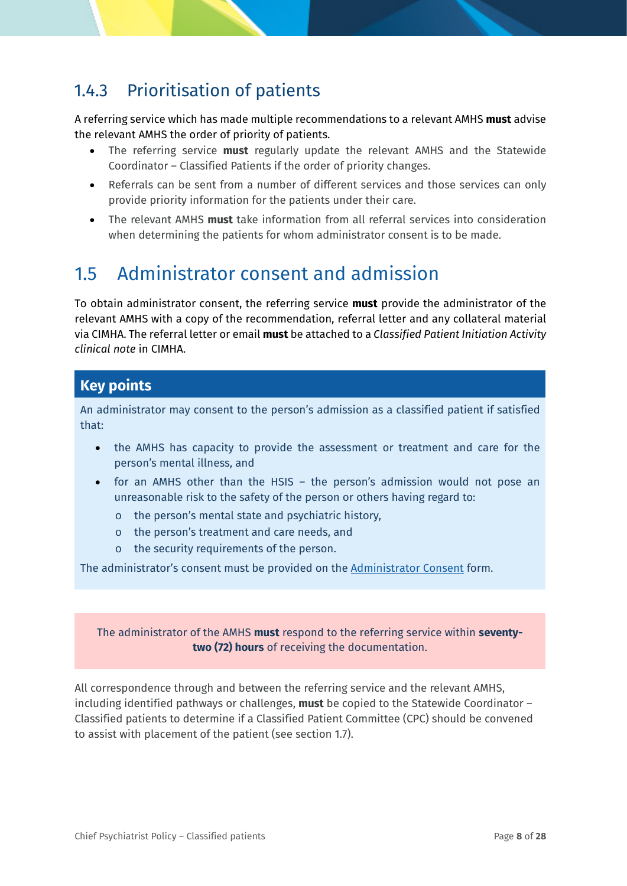## <span id="page-7-0"></span>1.4.3 Prioritisation of patients

A referring service which has made multiple recommendations to a relevant AMHS **must** advise the relevant AMHS the order of priority of patients.

- The referring service **must** regularly update the relevant AMHS and the Statewide Coordinator – Classified Patients if the order of priority changes.
- Referrals can be sent from a number of different services and those services can only provide priority information for the patients under their care.
- The relevant AMHS **must** take information from all referral services into consideration when determining the patients for whom administrator consent is to be made.

## <span id="page-7-1"></span>1.5 Administrator consent and admission

To obtain administrator consent, the referring service **must** provide the administrator of the relevant AMHS with a copy of the recommendation, referral letter and any collateral material via CIMHA. The referral letter or email **must** be attached to a *Classified Patient Initiation Activity clinical note* in CIMHA.

#### **Key points**

An administrator may consent to the person's admission as a classified patient if satisfied that:

- the AMHS has capacity to provide the assessment or treatment and care for the person's mental illness, and
- for an AMHS other than the HSIS the person's admission would not pose an unreasonable risk to the safety of the person or others having regard to:
	- o the person's mental state and psychiatric history,
	- o the person's treatment and care needs, and
	- o the security requirements of the person.

The administrator's consent must be provided on the [Administrator Consent](https://www.health.qld.gov.au/__data/assets/pdf_file/0025/574009/f_cp_admin_consent.pdf) form.

#### The administrator of the AMHS **must** respond to the referring service within **seventytwo (72) hours** of receiving the documentation.

All correspondence through and between the referring service and the relevant AMHS, including identified pathways or challenges, **must** be copied to the Statewide Coordinator – Classified patients to determine if a Classified Patient Committee (CPC) should be convened to assist with placement of the patient (see section [1.7\)](#page-10-0).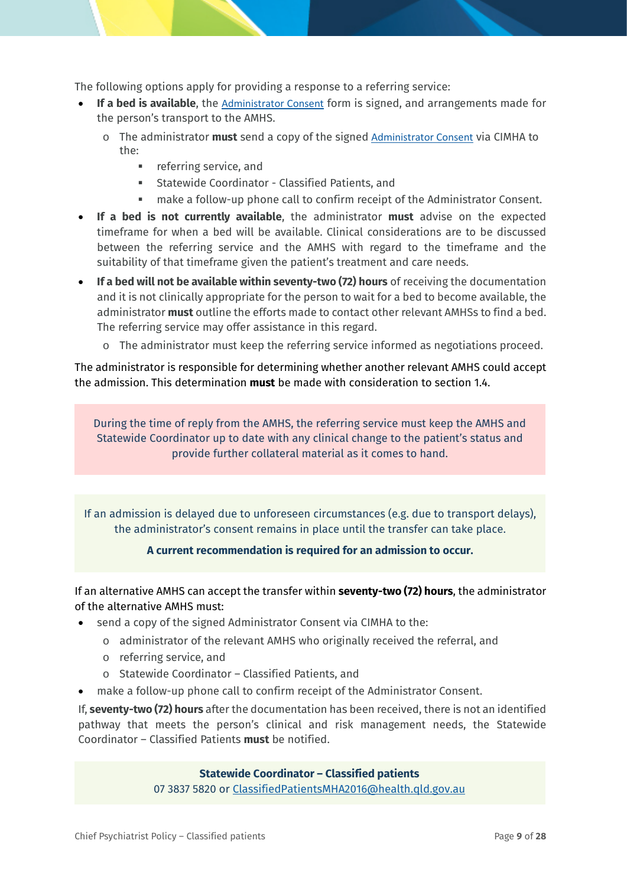The following options apply for providing a response to a referring service:

- **If a bed is available**, the [Administrator Consent](https://www.health.qld.gov.au/__data/assets/pdf_file/0025/574009/f_cp_admin_consent.pdf) form is signed, and arrangements made for the person's transport to the AMHS.
	- o The administrator **must** send a copy of the signed [Administrator Consent](https://www.health.qld.gov.au/__data/assets/pdf_file/0025/574009/f_cp_admin_consent.pdf) via CIMHA to the:
		- **referring service, and**
		- Statewide Coordinator Classified Patients, and
		- make a follow-up phone call to confirm receipt of the Administrator Consent.
- **If a bed is not currently available**, the administrator **must** advise on the expected timeframe for when a bed will be available. Clinical considerations are to be discussed between the referring service and the AMHS with regard to the timeframe and the suitability of that timeframe given the patient's treatment and care needs.
- **If a bed will not be available within seventy-two (72) hours** of receiving the documentation and it is not clinically appropriate for the person to wait for a bed to become available, the administrator **must** outline the efforts made to contact other relevant AMHSs to find a bed. The referring service may offer assistance in this regard.
	- o The administrator must keep the referring service informed as negotiations proceed.

The administrator is responsible for determining whether another relevant AMHS could accept the admission. This determination **must** be made with consideration to section [1.4.](#page-6-0)

During the time of reply from the AMHS, the referring service must keep the AMHS and Statewide Coordinator up to date with any clinical change to the patient's status and provide further collateral material as it comes to hand.

If an admission is delayed due to unforeseen circumstances (e.g. due to transport delays), the administrator's consent remains in place until the transfer can take place.

#### **A current recommendation is required for an admission to occur.**

If an alternative AMHS can accept the transfer within **seventy-two (72) hours**, the administrator of the alternative AMHS must:

- send a copy of the signe[d Administrator Consent](https://www.health.qld.gov.au/__data/assets/pdf_file/0025/574009/f_cp_admin_consent.pdf) via CIMHA to the:
	- o administrator of the relevant AMHS who originally received the referral, and
	- o referring service, and
	- o Statewide Coordinator Classified Patients, and
- make a follow-up phone call to confirm receipt of the Administrator Consent.

If, **seventy-two (72) hours** after the documentation has been received, there is not an identified pathway that meets the person's clinical and risk management needs, the Statewide Coordinator – Classified Patients **must** be notified.

#### **Statewide Coordinator – Classified patients**

07 3837 5820 or [ClassifiedPatientsMHA2016@health.qld.gov.au](mailto:ClassifiedPatientsMHA2016@health.qld.gov.au)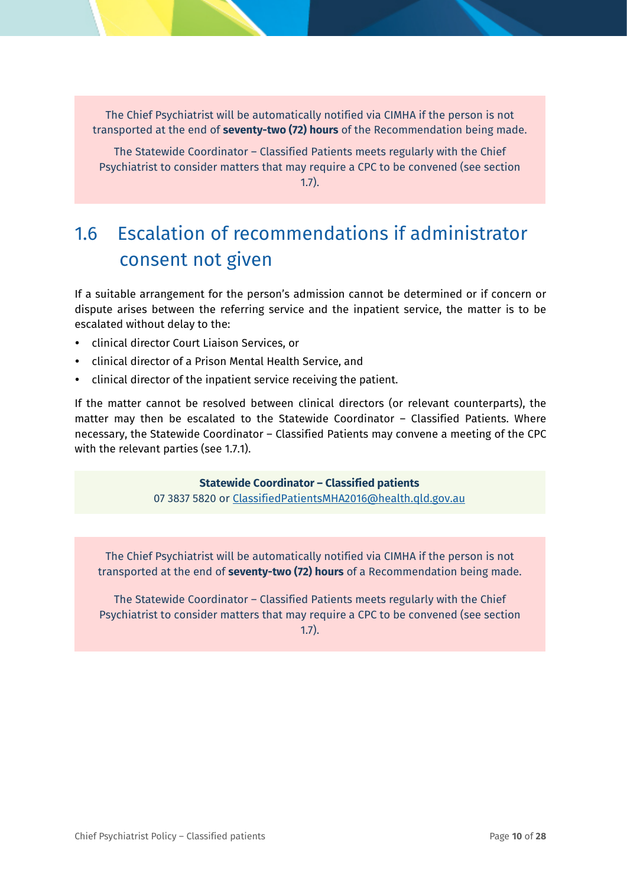The Chief Psychiatrist will be automatically notified via CIMHA if the person is not transported at the end of **seventy-two (72) hours** of the Recommendation being made.

The Statewide Coordinator – Classified Patients meets regularly with the Chief Psychiatrist to consider matters that may require a CPC to be convened (see section 1.7).

## <span id="page-9-0"></span>1.6 Escalation of recommendations if administrator consent not given

If a suitable arrangement for the person's admission cannot be determined or if concern or dispute arises between the referring service and the inpatient service, the matter is to be escalated without delay to the:

- clinical director Court Liaison Services, or
- clinical director of a Prison Mental Health Service, and
- clinical director of the inpatient service receiving the patient.

If the matter cannot be resolved between clinical directors (or relevant counterparts), the matter may then be escalated to the Statewide Coordinator – Classified Patients. Where necessary, the Statewide Coordinator – Classified Patients may convene a meeting of the CPC with the relevant parties (see [1.7.1\)](#page-10-1).

> **Statewide Coordinator – Classified patients** 07 3837 5820 or [ClassifiedPatientsMHA2016@health.qld.gov.au](mailto:ClassifiedPatientsMHA2016@health.qld.gov.au)

The Chief Psychiatrist will be automatically notified via CIMHA if the person is not transported at the end of **seventy-two (72) hours** of a Recommendation being made.

The Statewide Coordinator – Classified Patients meets regularly with the Chief Psychiatrist to consider matters that may require a CPC to be convened (see section 1.7).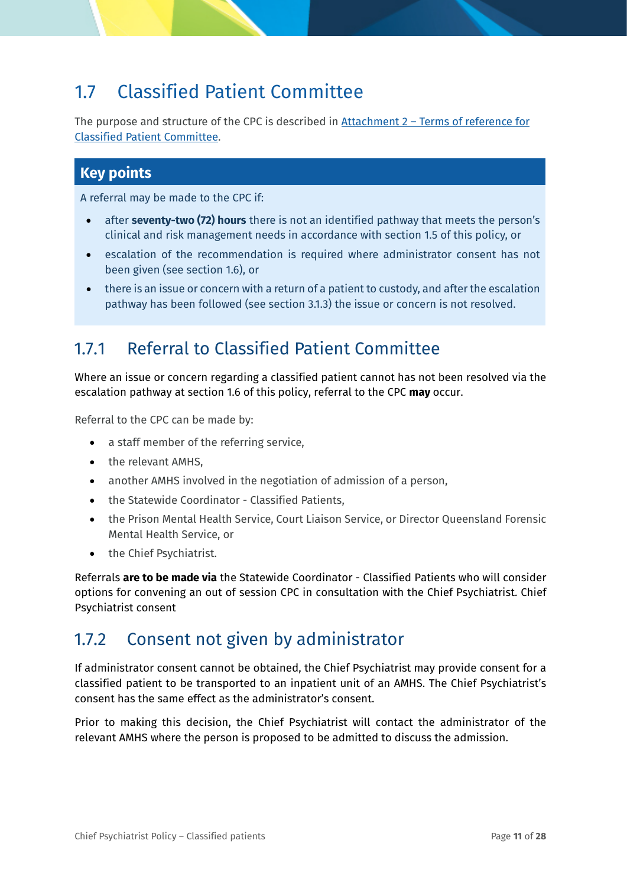## <span id="page-10-0"></span>1.7 Classified Patient Committee

The purpose and structure of the CPC is described in Attachment 2 – [Terms of reference for](#page-25-1)  [Classified Patient](#page-25-1) Committee.

#### **Key points**

A referral may be made to the CPC if:

- after **seventy-two (72) hours** there is not an identified pathway that meets the person's clinical and risk management needs in accordance with section [1.5](#page-7-1) of this policy, or
- escalation of the recommendation is required where administrator consent has not been given (see section 1.6), or
- there is an issue or concern with a return of a patient to custody, and after the escalation pathway has been followed (see section [3.1.3\)](#page-19-1) the issue or concern is not resolved.

### <span id="page-10-1"></span>1.7.1 Referral to Classified Patient Committee

Where an issue or concern regarding a classified patient cannot has not been resolved via the escalation pathway at section [1.6](#page-9-0) of this policy, referral to the CPC **may** occur.

Referral to the CPC can be made by:

- a staff member of the referring service,
- the relevant AMHS,
- another AMHS involved in the negotiation of admission of a person,
- the Statewide Coordinator Classified Patients,
- the Prison Mental Health Service, Court Liaison Service, or Director Queensland Forensic Mental Health Service, or
- the Chief Psychiatrist.

Referrals **are to be made via** the Statewide Coordinator - Classified Patients who will consider options for convening an out of session CPC in consultation with the Chief Psychiatrist. Chief Psychiatrist consent

### <span id="page-10-2"></span>1.7.2 Consent not given by administrator

If administrator consent cannot be obtained, the Chief Psychiatrist may provide consent for a classified patient to be transported to an inpatient unit of an AMHS. The Chief Psychiatrist's consent has the same effect as the administrator's consent.

Prior to making this decision, the Chief Psychiatrist will contact the administrator of the relevant AMHS where the person is proposed to be admitted to discuss the admission.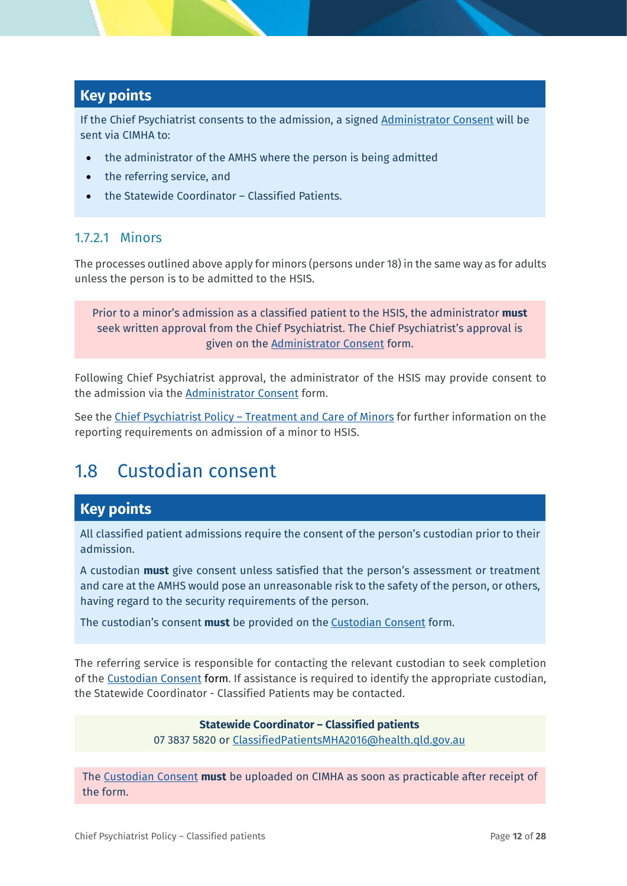#### **Key points**

If the Chief Psychiatrist consents to the admission, a signed [Administrator Consent](https://www.health.qld.gov.au/__data/assets/pdf_file/0025/574009/f_cp_admin_consent.pdf) will be sent via CIMHA to:

- the administrator of the AMHS where the person is being admitted
- the referring service, and
- the Statewide Coordinator Classified Patients.

#### <span id="page-11-1"></span>1.7.2.1 Minors

The processes outlined above apply for minors (persons under 18) in the same way as for adults unless the person is to be admitted to the HSIS.

Prior to a minor's admission as a classified patient to the HSIS, the administrator **must** seek written approval from the Chief Psychiatrist. The Chief Psychiatrist's approval is given on the [Administrator Consent](https://www.health.qld.gov.au/__data/assets/pdf_file/0025/574009/f_cp_admin_consent.pdf) form.

Following Chief Psychiatrist approval, the administrator of the HSIS may provide consent to the admission via the [Administrator Consent](https://www.health.qld.gov.au/__data/assets/pdf_file/0025/574009/f_cp_admin_consent.pdf) form.

See the Chief Psychiatrist Policy – [Treatment and Care of Minors](https://www.health.qld.gov.au/__data/assets/pdf_file/0028/638209/cpp_child_youth.pdf) for further information on the reporting requirements on admission of a minor to HSIS.

## <span id="page-11-0"></span>1.8 Custodian consent

### **Key points**

All classified patient admissions require the consent of the person's custodian prior to their admission.

A custodian **must** give consent unless satisfied that the person's assessment or treatment and care at the AMHS would pose an unreasonable risk to the safety of the person, or others, having regard to the security requirements of the person.

The custodian's consent **must** be provided on the [Custodian Consent](https://www.health.qld.gov.au/__data/assets/pdf_file/0020/574022/f_cp_custod_consent.pdf) form.

The referring service is responsible for contacting the relevant custodian to seek completion of the [Custodian Consent](https://www.health.qld.gov.au/__data/assets/pdf_file/0020/574022/f_cp_custod_consent.pdf) form. If assistance is required to identify the appropriate custodian, the Statewide Coordinator - Classified Patients may be contacted.

#### **Statewide Coordinator – Classified patients**

07 3837 5820 or [ClassifiedPatientsMHA2016@health.qld.gov.au](mailto:ClassifiedPatientsMHA2016@health.qld.gov.au)

The [Custodian Consent](https://www.health.qld.gov.au/__data/assets/pdf_file/0020/574022/f_cp_custod_consent.pdf) **must** be uploaded on CIMHA as soon as practicable after receipt of the form.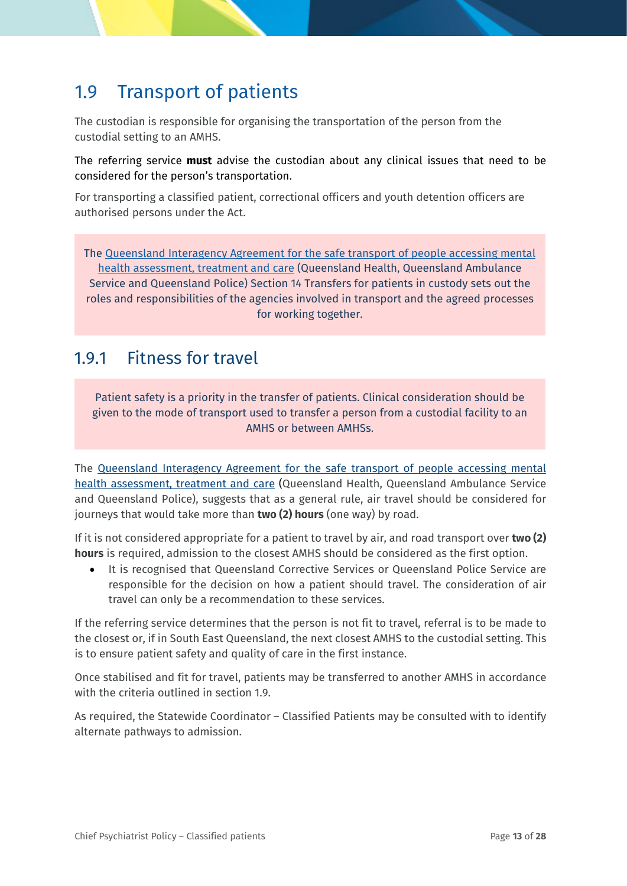## <span id="page-12-0"></span>1.9 Transport of patients

The custodian is responsible for organising the transportation of the person from the custodial setting to an AMHS.

The referring service **must** advise the custodian about any clinical issues that need to be considered for the person's transportation.

For transporting a classified patient, correctional officers and youth detention officers are authorised persons under the Act.

The [Queensland Interagency Agreement for the safe transport of people accessing mental](https://www.health.qld.gov.au/__data/assets/pdf_file/0023/444902/mh-pat-trans-aggr-jul-14.pdf)  [health assessment, treatment and care](https://www.health.qld.gov.au/__data/assets/pdf_file/0023/444902/mh-pat-trans-aggr-jul-14.pdf) (Queensland Health, Queensland Ambulance Service and Queensland Police) Section 14 Transfers for patients in custody sets out the roles and responsibilities of the agencies involved in transport and the agreed processes for working together.

### <span id="page-12-1"></span>1.9.1 Fitness for travel

Patient safety is a priority in the transfer of patients. Clinical consideration should be given to the mode of transport used to transfer a person from a custodial facility to an AMHS or between AMHSs.

The [Queensland Interagency Agreement for the safe transport of people accessing mental](https://www.health.qld.gov.au/__data/assets/pdf_file/0023/444902/mh-pat-trans-aggr-jul-14.pdf)  [health assessment, treatment and care](https://www.health.qld.gov.au/__data/assets/pdf_file/0023/444902/mh-pat-trans-aggr-jul-14.pdf) (Queensland Health, Queensland Ambulance Service and Queensland Police), suggests that as a general rule, air travel should be considered for journeys that would take more than **two (2) hours** (one way) by road.

If it is not considered appropriate for a patient to travel by air, and road transport over **two (2) hours** is required, admission to the closest AMHS should be considered as the first option.

• It is recognised that Queensland Corrective Services or Queensland Police Service are responsible for the decision on how a patient should travel. The consideration of air travel can only be a recommendation to these services.

If the referring service determines that the person is not fit to travel, referral is to be made to the closest or, if in South East Queensland, the next closest AMHS to the custodial setting. This is to ensure patient safety and quality of care in the first instance.

Once stabilised and fit for travel, patients may be transferred to another AMHS in accordance with the criteria outlined in section [1.9.](#page-12-0)

As required, the Statewide Coordinator – Classified Patients may be consulted with to identify alternate pathways to admission.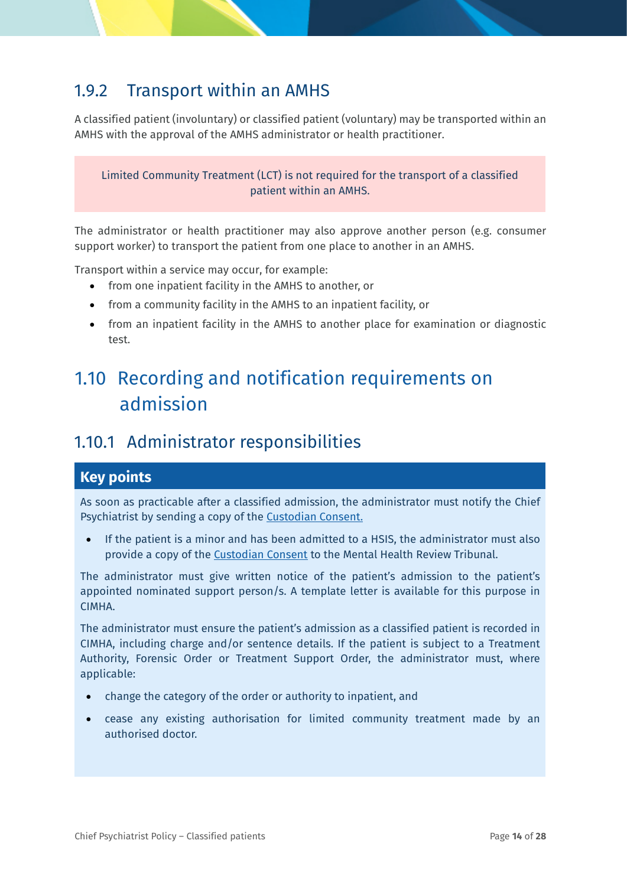### <span id="page-13-0"></span>1.9.2 Transport within an AMHS

A classified patient (involuntary) or classified patient (voluntary) may be transported within an AMHS with the approval of the AMHS administrator or health practitioner.

Limited Community Treatment (LCT) is not required for the transport of a classified patient within an AMHS.

The administrator or health practitioner may also approve another person (e.g. consumer support worker) to transport the patient from one place to another in an AMHS.

Transport within a service may occur, for example:

- from one inpatient facility in the AMHS to another, or
- from a community facility in the AMHS to an inpatient facility, or
- from an inpatient facility in the AMHS to another place for examination or diagnostic test.

## <span id="page-13-1"></span>1.10 Recording and notification requirements on admission

### <span id="page-13-2"></span>1.10.1 Administrator responsibilities

#### **Key points**

As soon as practicable after a classified admission, the administrator must notify the Chief Psychiatrist by sending a copy of the [Custodian Consent.](https://www.health.qld.gov.au/__data/assets/pdf_file/0020/574022/f_cp_custod_consent.pdf)

• If the patient is a minor and has been admitted to a HSIS, the administrator must also provide a copy of the Custodian Consent to the Mental Health Review Tribunal.

The administrator must give written notice of the patient's admission to the patient's appointed nominated support person/s. A template letter is available for this purpose in CIMHA.

The administrator must ensure the patient's admission as a classified patient is recorded in CIMHA, including charge and/or sentence details. If the patient is subject to a Treatment Authority, Forensic Order or Treatment Support Order, the administrator must, where applicable:

- change the category of the order or authority to inpatient, and
- cease any existing authorisation for limited community treatment made by an authorised doctor.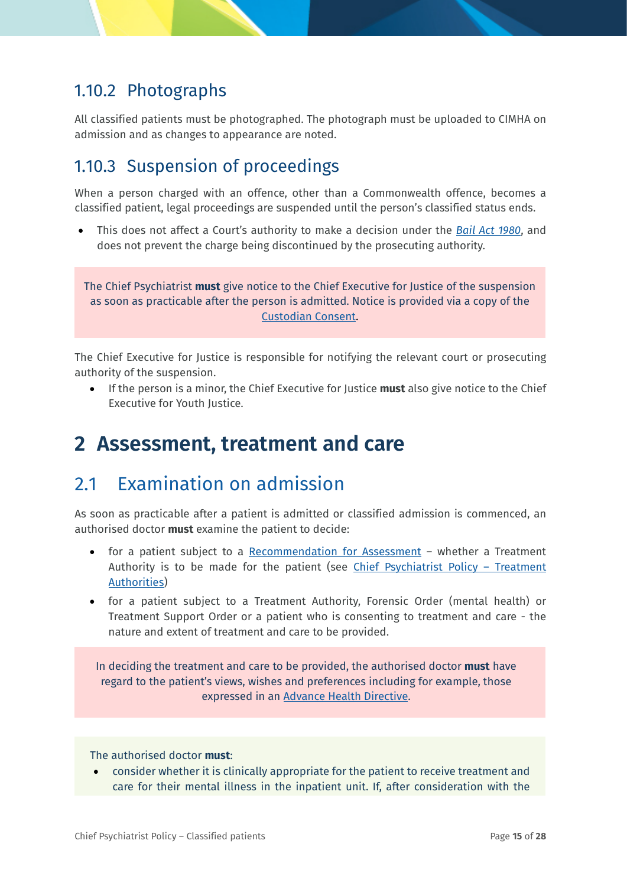### 1.10.2 Photographs

All classified patients must be photographed. The photograph must be uploaded to CIMHA on admission and as changes to appearance are noted.

### <span id="page-14-0"></span>1.10.3 Suspension of proceedings

When a person charged with an offence, other than a Commonwealth offence, becomes a classified patient, legal proceedings are suspended until the person's classified status ends.

• This does not affect a Court's authority to make a decision under the *[Bail Act 1980](https://www.legislation.qld.gov.au/view/html/inforce/current/act-1980-035)*, and does not prevent the charge being discontinued by the prosecuting authority.

The Chief Psychiatrist **must** give notice to the Chief Executive for Justice of the suspension as soon as practicable after the person is admitted. Notice is provided via a copy of the [Custodian Consent.](https://www.health.qld.gov.au/__data/assets/pdf_file/0020/574022/f_cp_custod_consent.pdf)

The Chief Executive for Justice is responsible for notifying the relevant court or prosecuting authority of the suspension.

• If the person is a minor, the Chief Executive for Justice **must** also give notice to the Chief Executive for Youth Justice.

## <span id="page-14-1"></span>**2 Assessment, treatment and care**

## <span id="page-14-2"></span>2.1 Examination on admission

As soon as practicable after a patient is admitted or classified admission is commenced, an authorised doctor **must** examine the patient to decide:

- for a patient subject to a [Recommendation for Assessment](https://www.health.qld.gov.au/__data/assets/pdf_file/0019/574012/f_recommend_assess.pdf) whether a Treatment Authority is to be made for the patient (see [Chief Psychiatrist Policy](https://www.health.qld.gov.au/__data/assets/pdf_file/0022/630823/pg_treatment_authorities.pdf) – Treatment [Authorities\)](https://www.health.qld.gov.au/__data/assets/pdf_file/0022/630823/pg_treatment_authorities.pdf)
- for a patient subject to a Treatment Authority, Forensic Order (mental health) or Treatment Support Order or a patient who is consenting to treatment and care - the nature and extent of treatment and care to be provided.

In deciding the treatment and care to be provided, the authorised doctor **must** have regard to the patient's views, wishes and preferences including for example, those expressed in an [Advance Health Directive.](https://www.health.qld.gov.au/__data/assets/pdf_file/0037/639865/AHD-brochure.pdf)

The authorised doctor **must**:

• consider whether it is clinically appropriate for the patient to receive treatment and care for their mental illness in the inpatient unit. If, after consideration with the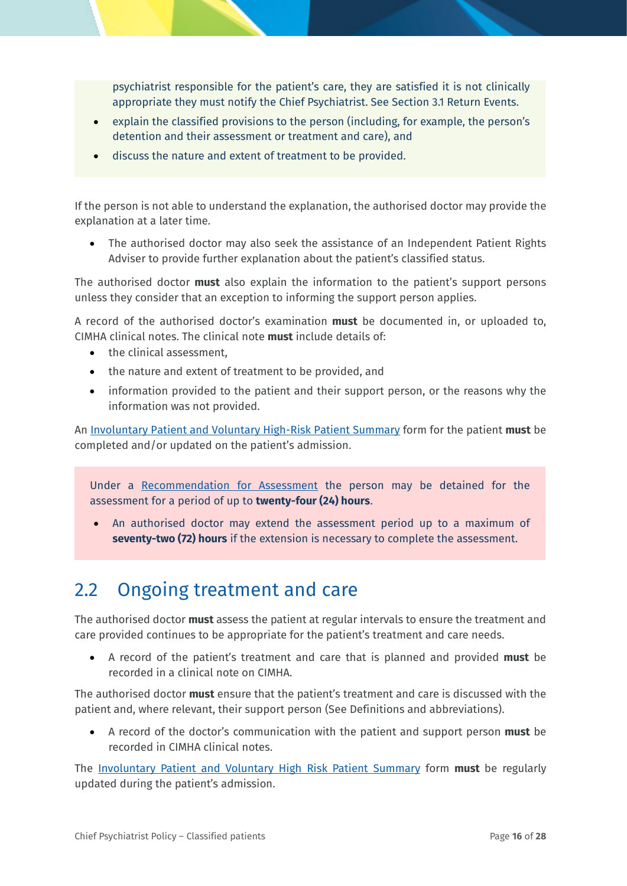psychiatrist responsible for the patient's care, they are satisfied it is not clinically appropriate they must notify the Chief Psychiatrist. See Section 3.1 Return Events.

- explain the classified provisions to the person (including, for example, the person's detention and their assessment or treatment and care), and
- discuss the nature and extent of treatment to be provided.

If the person is not able to understand the explanation, the authorised doctor may provide the explanation at a later time.

• The authorised doctor may also seek the assistance of an Independent Patient Rights Adviser to provide further explanation about the patient's classified status.

The authorised doctor **must** also explain the information to the patient's support persons unless they consider that an exception to informing the support person applies.

A record of the authorised doctor's examination **must** be documented in, or uploaded to, CIMHA clinical notes. The clinical note **must** include details of:

- the clinical assessment.
- the nature and extent of treatment to be provided, and
- information provided to the patient and their support person, or the reasons why the information was not provided.

An [Involuntary Patient and Voluntary High-Risk](https://www.health.qld.gov.au/__data/assets/pdf_file/0033/627756/cn_ipvhrps.pdf) Patient Summary form for the patient **must** be completed and/or updated on the patient's admission.

Under a [Recommendation for Assessment](https://www.health.qld.gov.au/__data/assets/pdf_file/0019/574012/f_recommend_assess.pdf) the person may be detained for the assessment for a period of up to **twenty-four (24) hours**.

• An authorised doctor may extend the assessment period up to a maximum of **seventy-two (72) hours** if the extension is necessary to complete the assessment.

## <span id="page-15-0"></span>2.2 Ongoing treatment and care

The authorised doctor **must** assess the patient at regular intervals to ensure the treatment and care provided continues to be appropriate for the patient's treatment and care needs.

• A record of the patient's treatment and care that is planned and provided **must** be recorded in a clinical note on CIMHA.

The authorised doctor **must** ensure that the patient's treatment and care is discussed with the patient and, where relevant, their support person (See [Definitions and abbreviations\)](#page-21-0).

• A record of the doctor's communication with the patient and support person **must** be recorded in CIMHA clinical notes.

The [Involuntary Patient and Voluntary High Risk Patient Summary](https://www.health.qld.gov.au/__data/assets/pdf_file/0033/627756/cn_ipvhrps.pdf) form **must** be regularly updated during the patient's admission.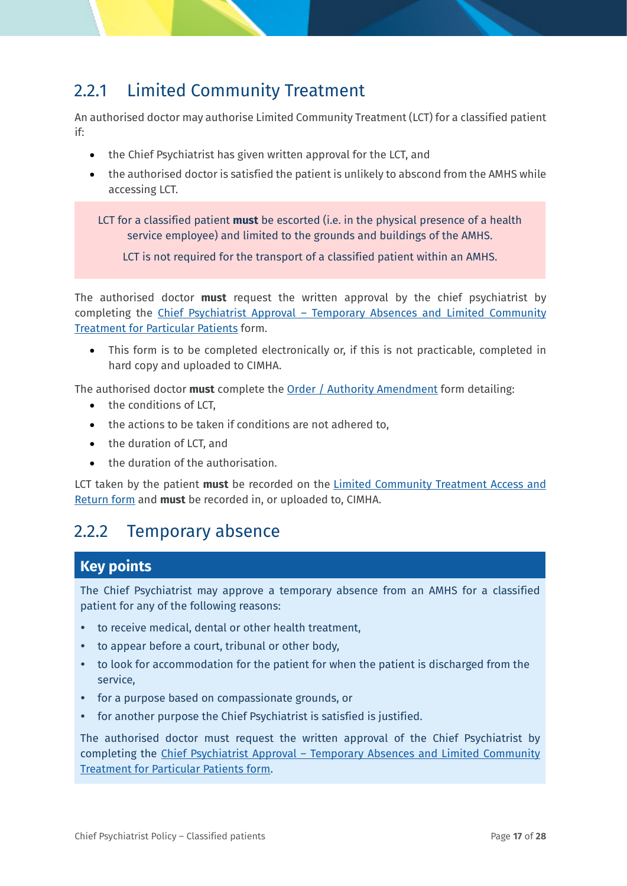## <span id="page-16-0"></span>2.2.1 Limited Community Treatment

An authorised doctor may authorise Limited Community Treatment (LCT) for a classified patient if:

- the Chief Psychiatrist has given written approval for the LCT, and
- the authorised doctor is satisfied the patient is unlikely to abscond from the AMHS while accessing LCT.

LCT for a classified patient **must** be escorted (i.e. in the physical presence of a health service employee) and limited to the grounds and buildings of the AMHS.

LCT is not required for the transport of a classified patient within an AMHS.

The authorised doctor **must** request the written approval by the chief psychiatrist by completing the Chief Psychiatrist Approval - Temporary Absences and Limited Community [Treatment for Particular Patients](https://www.health.qld.gov.au/__data/assets/pdf_file/0026/627731/f_cp_approve_absence_lct.pdf) form.

This form is to be completed electronically or, if this is not practicable, completed in hard copy and uploaded to CIMHA.

The authorised doctor **must** complete the [Order / Authority Amendment](https://www.health.qld.gov.au/__data/assets/pdf_file/0029/627734/f_order_authority_amendment.pdf) form detailing:

- the conditions of LCT,
- the actions to be taken if conditions are not adhered to,
- the duration of LCT, and
- the duration of the authorisation.

LCT taken by the patient **must** be recorded on the [Limited Community Treatment Access and](https://www.health.qld.gov.au/__data/assets/pdf_file/0028/627733/f_lct_access_return.pdf)  [Return form](https://www.health.qld.gov.au/__data/assets/pdf_file/0028/627733/f_lct_access_return.pdf) and **must** be recorded in, or uploaded to, CIMHA.

### <span id="page-16-1"></span>2.2.2 Temporary absence

#### **Key points**

The Chief Psychiatrist may approve a temporary absence from an AMHS for a classified patient for any of the following reasons:

- to receive medical, dental or other health treatment,
- to appear before a court, tribunal or other body,
- to look for accommodation for the patient for when the patient is discharged from the service,
- for a purpose based on compassionate grounds, or
- for another purpose the Chief Psychiatrist is satisfied is justified.

The authorised doctor must request the written approval of the Chief Psychiatrist by completing the Chief Psychiatrist Approval – [Temporary Absences and Limited Community](https://www.health.qld.gov.au/__data/assets/pdf_file/0017/641024/PDF_Chief-Psychiatrist-Approval-LCT-and-Temp-Absences.pdf)  [Treatment for Particular Patients form.](https://www.health.qld.gov.au/__data/assets/pdf_file/0017/641024/PDF_Chief-Psychiatrist-Approval-LCT-and-Temp-Absences.pdf)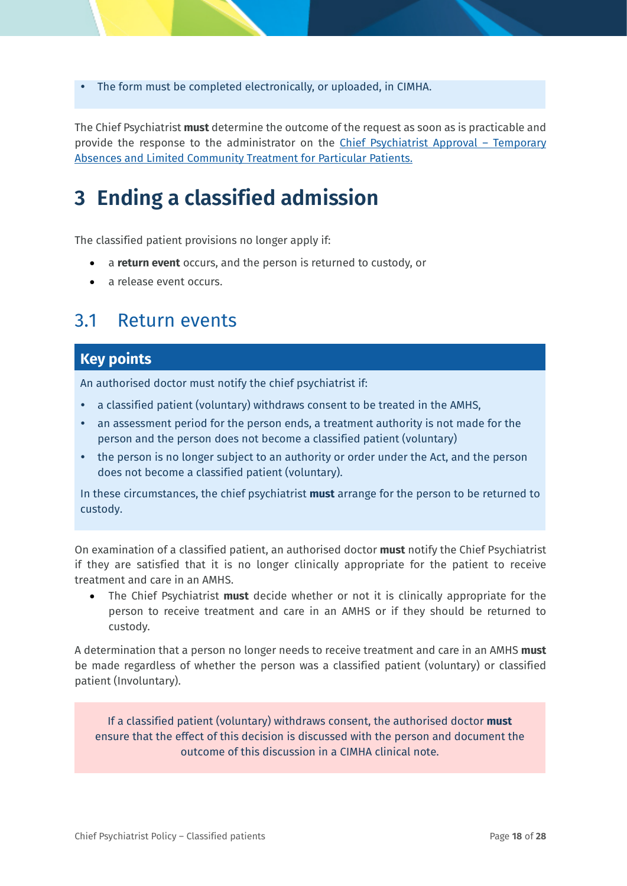The form must be completed electronically, or uploaded, in CIMHA.

The Chief Psychiatrist **must** determine the outcome of the request as soon as is practicable and provide the response to the administrator on the [Chief Psychiatrist Approval –](https://www.health.qld.gov.au/__data/assets/pdf_file/0017/641024/PDF_Chief-Psychiatrist-Approval-LCT-and-Temp-Absences.pdf) Temporary [Absences and Limited Community Treatment for Particular Patients.](https://www.health.qld.gov.au/__data/assets/pdf_file/0017/641024/PDF_Chief-Psychiatrist-Approval-LCT-and-Temp-Absences.pdf)

## <span id="page-17-0"></span>**3 Ending a classified admission**

The classified patient provisions no longer apply if:

- a **return event** occurs, and the person is returned to custody, or
- a release event occurs.

### <span id="page-17-1"></span>3.1 Return events

#### **Key points**

An authorised doctor must notify the chief psychiatrist if:

- a classified patient (voluntary) withdraws consent to be treated in the AMHS,
- an assessment period for the person ends, a treatment authority is not made for the person and the person does not become a classified patient (voluntary)
- the person is no longer subject to an authority or order under the Act, and the person does not become a classified patient (voluntary).

In these circumstances, the chief psychiatrist **must** arrange for the person to be returned to custody.

On examination of a classified patient, an authorised doctor **must** notify the Chief Psychiatrist if they are satisfied that it is no longer clinically appropriate for the patient to receive treatment and care in an AMHS.

• The Chief Psychiatrist **must** decide whether or not it is clinically appropriate for the person to receive treatment and care in an AMHS or if they should be returned to custody.

A determination that a person no longer needs to receive treatment and care in an AMHS **must** be made regardless of whether the person was a classified patient (voluntary) or classified patient (Involuntary).

If a classified patient (voluntary) withdraws consent, the authorised doctor **must** ensure that the effect of this decision is discussed with the person and document the outcome of this discussion in a CIMHA clinical note.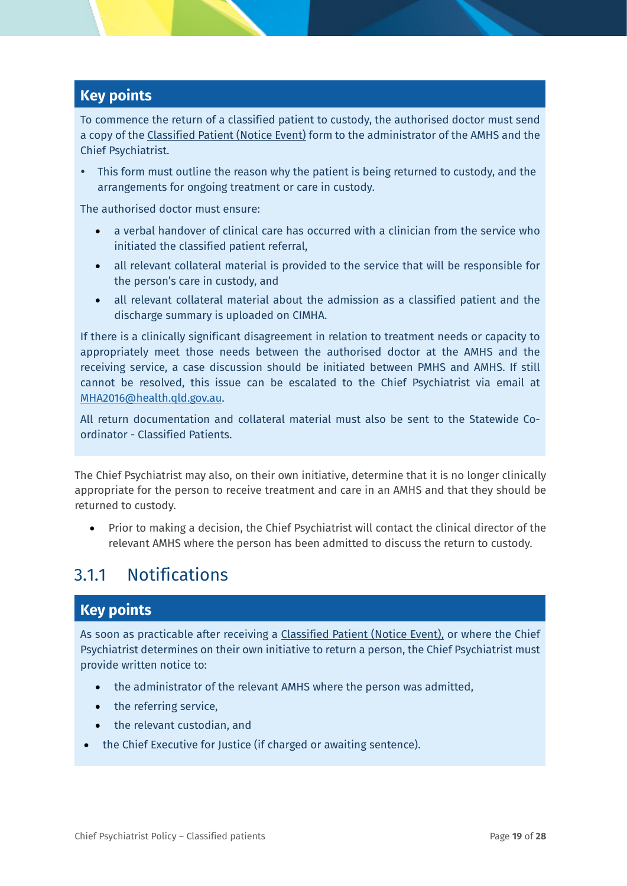### **Key points**

To commence the return of a classified patient to custody, the authorised doctor must send a copy of the [Classified Patient \(Notice Event\)](https://www.health.qld.gov.au/__data/assets/pdf_file/0022/574006/f_cp_notice_event.pdf) form to the administrator of the AMHS and the Chief Psychiatrist.

 This form must outline the reason why the patient is being returned to custody, and the arrangements for ongoing treatment or care in custody.

The authorised doctor must ensure:

- a verbal handover of clinical care has occurred with a clinician from the service who initiated the classified patient referral,
- all relevant collateral material is provided to the service that will be responsible for the person's care in custody, and
- all relevant collateral material about the admission as a classified patient and the discharge summary is uploaded on CIMHA.

If there is a clinically significant disagreement in relation to treatment needs or capacity to appropriately meet those needs between the authorised doctor at the AMHS and the receiving service, a case discussion should be initiated between PMHS and AMHS. If still cannot be resolved, this issue can be escalated to the Chief Psychiatrist via email at [MHA2016@health.qld.gov.au.](mailto:MHA2016@health.qld.gov.au)

All return documentation and collateral material must also be sent to the Statewide Coordinator - Classified Patients.

The Chief Psychiatrist may also, on their own initiative, determine that it is no longer clinically appropriate for the person to receive treatment and care in an AMHS and that they should be returned to custody.

• Prior to making a decision, the Chief Psychiatrist will contact the clinical director of the relevant AMHS where the person has been admitted to discuss the return to custody.

### <span id="page-18-0"></span>3.1.1 Notifications

#### **Key points**

As soon as practicable after receiving a [Classified Patient \(Notice Event\),](https://www.health.qld.gov.au/__data/assets/pdf_file/0022/574006/f_cp_notice_event.pdf) or where the Chief Psychiatrist determines on their own initiative to return a person, the Chief Psychiatrist must provide written notice to:

- the administrator of the relevant AMHS where the person was admitted,
- the referring service,
- the relevant custodian, and
- the Chief Executive for Justice (if charged or awaiting sentence).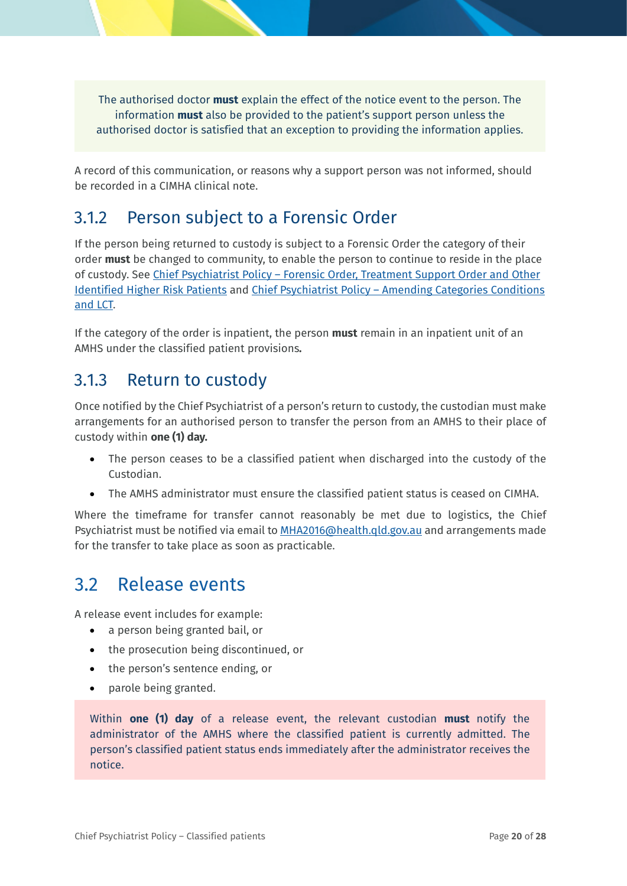The authorised doctor **must** explain the effect of the notice event to the person. The information **must** also be provided to the patient's support person unless the authorised doctor is satisfied that an exception to providing the information applies.

A record of this communication, or reasons why a support person was not informed, should be recorded in a CIMHA clinical note.

### <span id="page-19-0"></span>3.1.2 Person subject to a Forensic Order

If the person being returned to custody is subject to a Forensic Order the category of their order **must** be changed to community, to enable the person to continue to reside in the place of custody. See Chief Psychiatrist Policy – [Forensic Order, Treatment Support Order and Other](https://www.health.qld.gov.au/__data/assets/pdf_file/0028/635932/cpp-forensic-policy.pdf)  [Identified Higher Risk Patients](https://www.health.qld.gov.au/__data/assets/pdf_file/0028/635932/cpp-forensic-policy.pdf) and Chief Psychiatrist Policy – [Amending Categories Conditions](https://www.health.qld.gov.au/__data/assets/pdf_file/0036/629748/pg_fo_tso_amendment.pdf)  [and LCT.](https://www.health.qld.gov.au/__data/assets/pdf_file/0036/629748/pg_fo_tso_amendment.pdf)

If the category of the order is inpatient, the person **must** remain in an inpatient unit of an AMHS under the classified patient provisions*.*

### <span id="page-19-1"></span>3.1.3 Return to custody

Once notified by the Chief Psychiatrist of a person's return to custody, the custodian must make arrangements for an authorised person to transfer the person from an AMHS to their place of custody within **one (1) day.**

- The person ceases to be a classified patient when discharged into the custody of the Custodian.
- The AMHS administrator must ensure the classified patient status is ceased on CIMHA.

Where the timeframe for transfer cannot reasonably be met due to logistics, the Chief Psychiatrist must be notified via email to MHA2016@health.gld.gov.au and arrangements made for the transfer to take place as soon as practicable.

## <span id="page-19-2"></span>3.2 Release events

A release event includes for example:

- a person being granted bail, or
- the prosecution being discontinued, or
- the person's sentence ending, or
- parole being granted.

Within **one (1) day** of a release event, the relevant custodian **must** notify the administrator of the AMHS where the classified patient is currently admitted. The person's classified patient status ends immediately after the administrator receives the notice.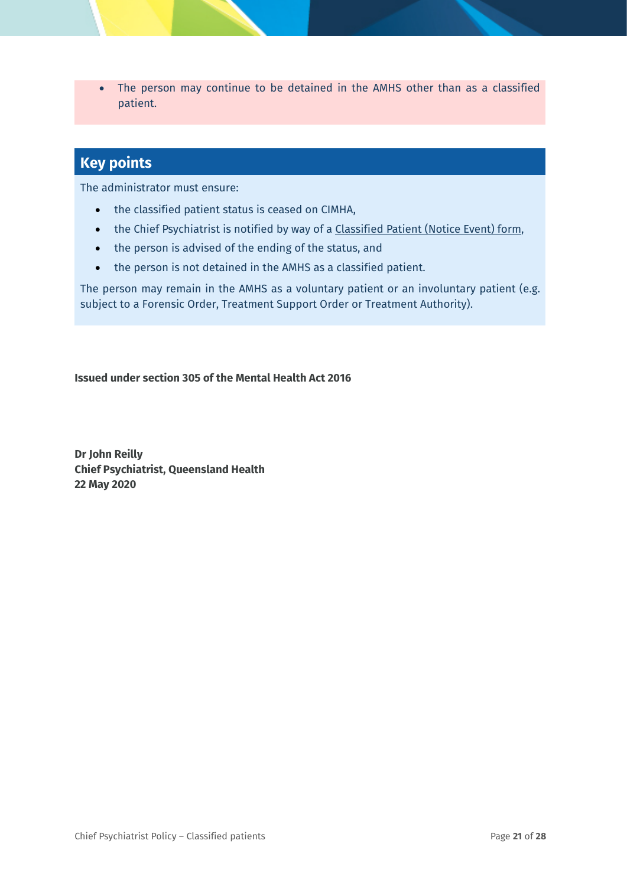• The person may continue to be detained in the AMHS other than as a classified patient.

### **Key points**

The administrator must ensure:

- the classified patient status is ceased on CIMHA,
- the Chief Psychiatrist is notified by way of a [Classified Patient \(Notice Event\) form,](https://www.health.qld.gov.au/__data/assets/pdf_file/0022/574006/f_cp_notice_event.pdf)
- the person is advised of the ending of the status, and
- the person is not detained in the AMHS as a classified patient.

The person may remain in the AMHS as a voluntary patient or an involuntary patient (e.g. subject to a Forensic Order, Treatment Support Order or Treatment Authority).

**Issued under section 305 of the Mental Health Act 2016**

**Dr John Reilly Chief Psychiatrist, Queensland Health 22 May 2020**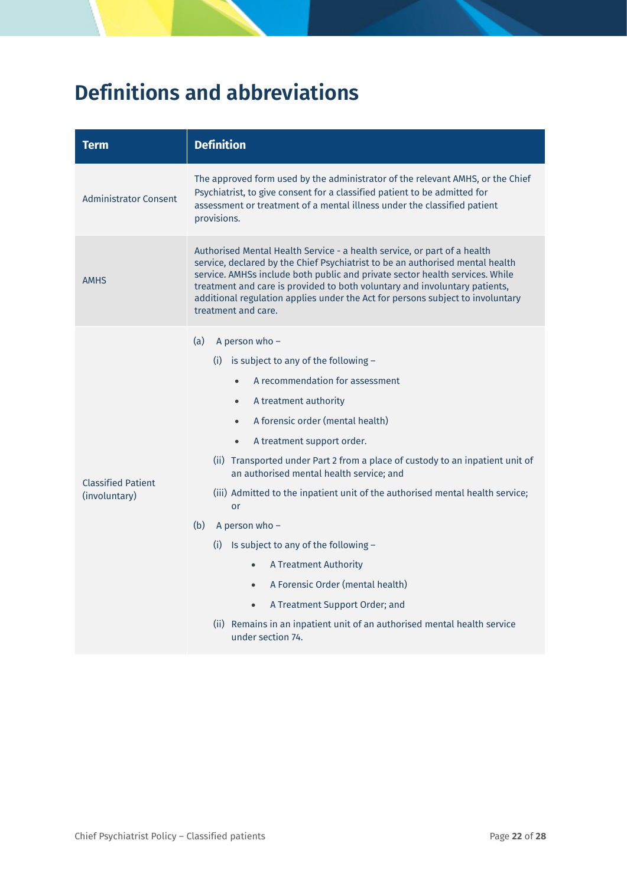# <span id="page-21-0"></span>**Definitions and abbreviations**

| Term                                       | <b>Definition</b>                                                                                                                                                                                                                                                                                                                                                                                                                                                                                                                                                                                                                                                         |  |
|--------------------------------------------|---------------------------------------------------------------------------------------------------------------------------------------------------------------------------------------------------------------------------------------------------------------------------------------------------------------------------------------------------------------------------------------------------------------------------------------------------------------------------------------------------------------------------------------------------------------------------------------------------------------------------------------------------------------------------|--|
| <b>Administrator Consent</b>               | The approved form used by the administrator of the relevant AMHS, or the Chief<br>Psychiatrist, to give consent for a classified patient to be admitted for<br>assessment or treatment of a mental illness under the classified patient<br>provisions.                                                                                                                                                                                                                                                                                                                                                                                                                    |  |
| <b>AMHS</b>                                | Authorised Mental Health Service - a health service, or part of a health<br>service, declared by the Chief Psychiatrist to be an authorised mental health<br>service. AMHSs include both public and private sector health services. While<br>treatment and care is provided to both voluntary and involuntary patients,<br>additional regulation applies under the Act for persons subject to involuntary<br>treatment and care.                                                                                                                                                                                                                                          |  |
| <b>Classified Patient</b><br>(involuntary) | (a)<br>A person who -<br>(i) is subject to any of the following $-$<br>A recommendation for assessment<br>A treatment authority<br>$\bullet$<br>A forensic order (mental health)<br>$\bullet$<br>A treatment support order.<br>$\bullet$<br>(ii) Transported under Part 2 from a place of custody to an inpatient unit of<br>an authorised mental health service; and<br>(iii) Admitted to the inpatient unit of the authorised mental health service;<br>or<br>(b)<br>A person who -<br>(i) Is subject to any of the following $-$<br>A Treatment Authority<br>$\bullet$<br>A Forensic Order (mental health)<br>$\bullet$<br>A Treatment Support Order; and<br>$\bullet$ |  |
|                                            | (ii) Remains in an inpatient unit of an authorised mental health service<br>under section 74.                                                                                                                                                                                                                                                                                                                                                                                                                                                                                                                                                                             |  |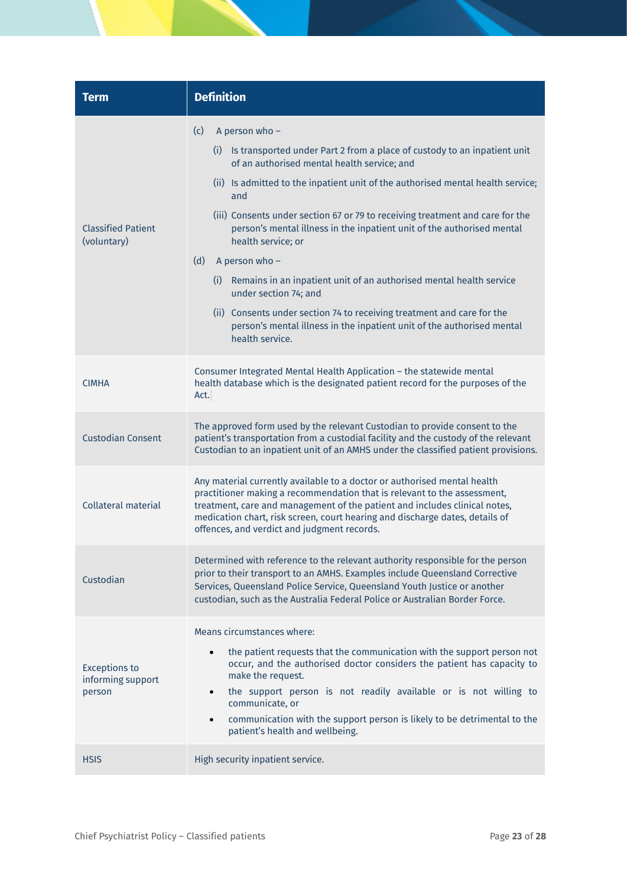| <b>Term</b>                                         | <b>Definition</b>                                                                                                                                                                                                                                                                                                                                                                                                                                                                                                                                                                                                                                                                                                                   |  |
|-----------------------------------------------------|-------------------------------------------------------------------------------------------------------------------------------------------------------------------------------------------------------------------------------------------------------------------------------------------------------------------------------------------------------------------------------------------------------------------------------------------------------------------------------------------------------------------------------------------------------------------------------------------------------------------------------------------------------------------------------------------------------------------------------------|--|
| <b>Classified Patient</b><br>(voluntary)            | (c)<br>A person who -<br>(i) Is transported under Part 2 from a place of custody to an inpatient unit<br>of an authorised mental health service; and<br>(ii) Is admitted to the inpatient unit of the authorised mental health service;<br>and<br>(iii) Consents under section 67 or 79 to receiving treatment and care for the<br>person's mental illness in the inpatient unit of the authorised mental<br>health service; or<br>(d)<br>A person who -<br>(i) Remains in an inpatient unit of an authorised mental health service<br>under section 74; and<br>(ii) Consents under section 74 to receiving treatment and care for the<br>person's mental illness in the inpatient unit of the authorised mental<br>health service. |  |
| <b>CIMHA</b>                                        | Consumer Integrated Mental Health Application - the statewide mental<br>health database which is the designated patient record for the purposes of the<br>Act.                                                                                                                                                                                                                                                                                                                                                                                                                                                                                                                                                                      |  |
| <b>Custodian Consent</b>                            | The approved form used by the relevant Custodian to provide consent to the<br>patient's transportation from a custodial facility and the custody of the relevant<br>Custodian to an inpatient unit of an AMHS under the classified patient provisions.                                                                                                                                                                                                                                                                                                                                                                                                                                                                              |  |
| <b>Collateral material</b>                          | Any material currently available to a doctor or authorised mental health<br>practitioner making a recommendation that is relevant to the assessment,<br>treatment, care and management of the patient and includes clinical notes,<br>medication chart, risk screen, court hearing and discharge dates, details of<br>offences, and verdict and judgment records.                                                                                                                                                                                                                                                                                                                                                                   |  |
| Custodian                                           | Determined with reference to the relevant authority responsible for the person<br>prior to their transport to an AMHS. Examples include Queensland Corrective<br>Services, Queensland Police Service, Queensland Youth Justice or another<br>custodian, such as the Australia Federal Police or Australian Border Force.                                                                                                                                                                                                                                                                                                                                                                                                            |  |
| <b>Exceptions to</b><br>informing support<br>person | Means circumstances where:<br>the patient requests that the communication with the support person not<br>$\bullet$<br>occur, and the authorised doctor considers the patient has capacity to<br>make the request.<br>the support person is not readily available or is not willing to<br>$\bullet$<br>communicate, or<br>communication with the support person is likely to be detrimental to the<br>$\bullet$<br>patient's health and wellbeing.                                                                                                                                                                                                                                                                                   |  |
| <b>HSIS</b>                                         | High security inpatient service.                                                                                                                                                                                                                                                                                                                                                                                                                                                                                                                                                                                                                                                                                                    |  |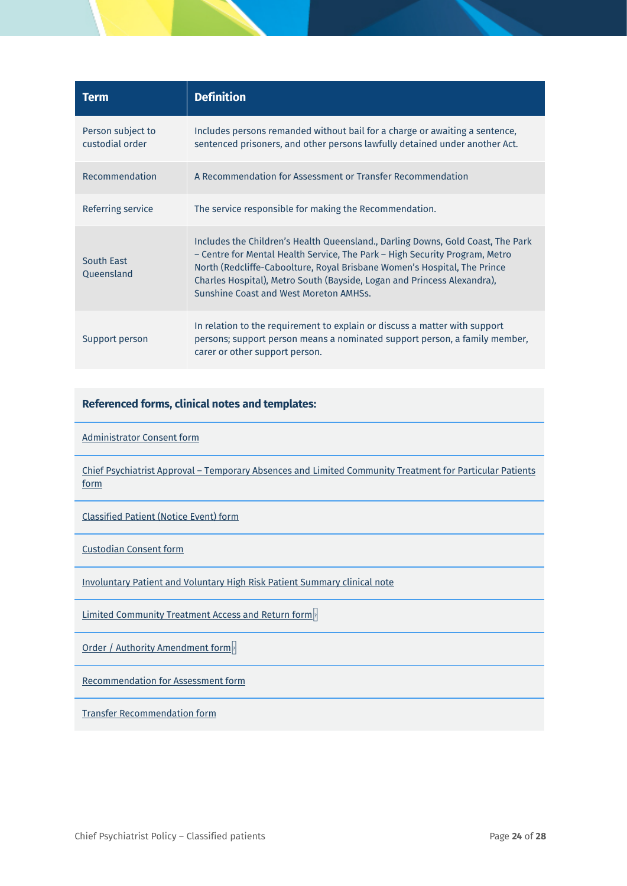| Term                                 | <b>Definition</b>                                                                                                                                                                                                                                                                                                                                               |  |
|--------------------------------------|-----------------------------------------------------------------------------------------------------------------------------------------------------------------------------------------------------------------------------------------------------------------------------------------------------------------------------------------------------------------|--|
| Person subject to<br>custodial order | Includes persons remanded without bail for a charge or awaiting a sentence,<br>sentenced prisoners, and other persons lawfully detained under another Act.                                                                                                                                                                                                      |  |
| Recommendation                       | A Recommendation for Assessment or Transfer Recommendation                                                                                                                                                                                                                                                                                                      |  |
| Referring service                    | The service responsible for making the Recommendation.                                                                                                                                                                                                                                                                                                          |  |
| <b>South East</b><br>Queensland      | Includes the Children's Health Queensland., Darling Downs, Gold Coast, The Park<br>- Centre for Mental Health Service, The Park - High Security Program, Metro<br>North (Redcliffe-Caboolture, Royal Brisbane Women's Hospital, The Prince<br>Charles Hospital), Metro South (Bayside, Logan and Princess Alexandra),<br>Sunshine Coast and West Moreton AMHSs. |  |
| Support person                       | In relation to the requirement to explain or discuss a matter with support<br>persons; support person means a nominated support person, a family member,<br>carer or other support person.                                                                                                                                                                      |  |

#### **Referenced forms, clinical notes and templates:**

[Administrator Consent form](https://www.health.qld.gov.au/clinical-practice/guidelines-procedures/clinical-staff/mental-health/act/2016/?a=574009)

Chief Psychiatrist Approval – [Temporary Absences and Limited Community Treatment for Particular Patients](https://www.health.qld.gov.au/clinical-practice/guidelines-procedures/clinical-staff/mental-health/act/2016/?a=627731)  [form](https://www.health.qld.gov.au/clinical-practice/guidelines-procedures/clinical-staff/mental-health/act/2016/?a=627731) 

[Classified Patient \(Notice Event\) form](https://www.health.qld.gov.au/clinical-practice/guidelines-procedures/clinical-staff/mental-health/act/2016/?a=574006)

[Custodian Consent form](https://www.health.qld.gov.au/clinical-practice/guidelines-procedures/clinical-staff/mental-health/act/2016/?a=574022)

[Involuntary Patient and Voluntary High Risk Patient Summary clinical note](https://www.health.qld.gov.au/clinical-practice/guidelines-procedures/clinical-staff/mental-health/act/2016/?a=627756)

[Limited Community Treatment Access and Return form](https://www.health.qld.gov.au/clinical-practice/guidelines-procedures/clinical-staff/mental-health/act/2016/?a=627733)

[Order / Authority Amendment form](https://www.health.qld.gov.au/clinical-practice/guidelines-procedures/clinical-staff/mental-health/act/2016/?a=627734)

[Recommendation for Assessment form](https://www.health.qld.gov.au/clinical-practice/guidelines-procedures/clinical-staff/mental-health/act/2016/?a=574012)

[Transfer Recommendation form](https://www.health.qld.gov.au/clinical-practice/guidelines-procedures/clinical-staff/mental-health/act/2016/?a=574000)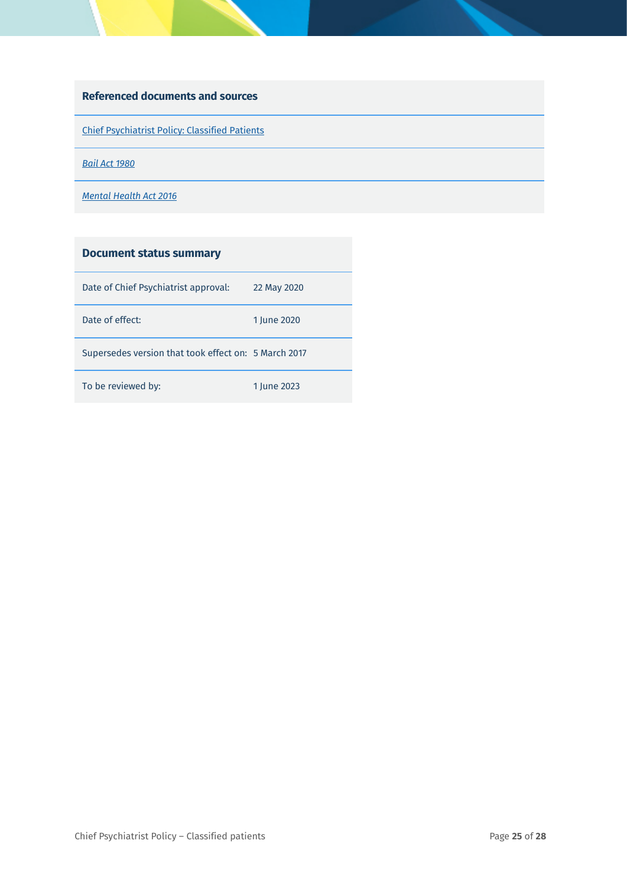#### **Referenced documents and sources**

[Chief Psychiatrist Policy: Classified Patients](https://www.health.qld.gov.au/clinical-practice/guidelines-procedures/clinical-staff/mental-health/act/2016/?a=465172)

*[Bail Act 1980](https://www.legislation.qld.gov.au/LEGISLTN/CURRENT/B/BailA80.pdf)*

*[Mental Health Act 2016](https://www.legislation.qld.gov.au/LEGISLTN/ACTS/2016/16AC005.pdf)*

| <b>Document status summary</b>                       |             |
|------------------------------------------------------|-------------|
| Date of Chief Psychiatrist approval:                 | 22 May 2020 |
| Date of effect:                                      | 1 lune 2020 |
| Supersedes version that took effect on: 5 March 2017 |             |
| To be reviewed by:                                   | 1 lune 2023 |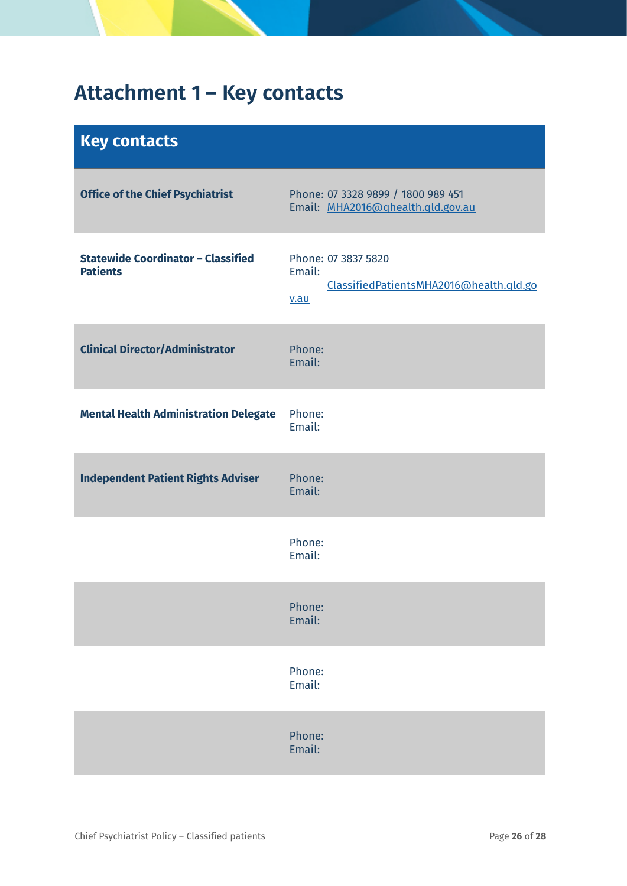# <span id="page-25-0"></span>**Attachment 1 – Key contacts**

<span id="page-25-1"></span>

| <b>Key contacts</b>                                          |                                                                                  |
|--------------------------------------------------------------|----------------------------------------------------------------------------------|
| <b>Office of the Chief Psychiatrist</b>                      | Phone: 07 3328 9899 / 1800 989 451<br>Email: MHA2016@qhealth.qld.gov.au          |
| <b>Statewide Coordinator - Classified</b><br><b>Patients</b> | Phone: 07 3837 5820<br>Email:<br>ClassifiedPatientsMHA2016@health.qld.go<br>v.au |
| <b>Clinical Director/Administrator</b>                       | Phone:<br>Email:                                                                 |
| <b>Mental Health Administration Delegate</b>                 | Phone:<br>Email:                                                                 |
| <b>Independent Patient Rights Adviser</b>                    | Phone:<br>Email:                                                                 |
|                                                              | Phone:<br>Email:                                                                 |
|                                                              | Phone:<br>Email:                                                                 |
|                                                              | Phone:<br>Email:                                                                 |
|                                                              | Phone:<br>Email:                                                                 |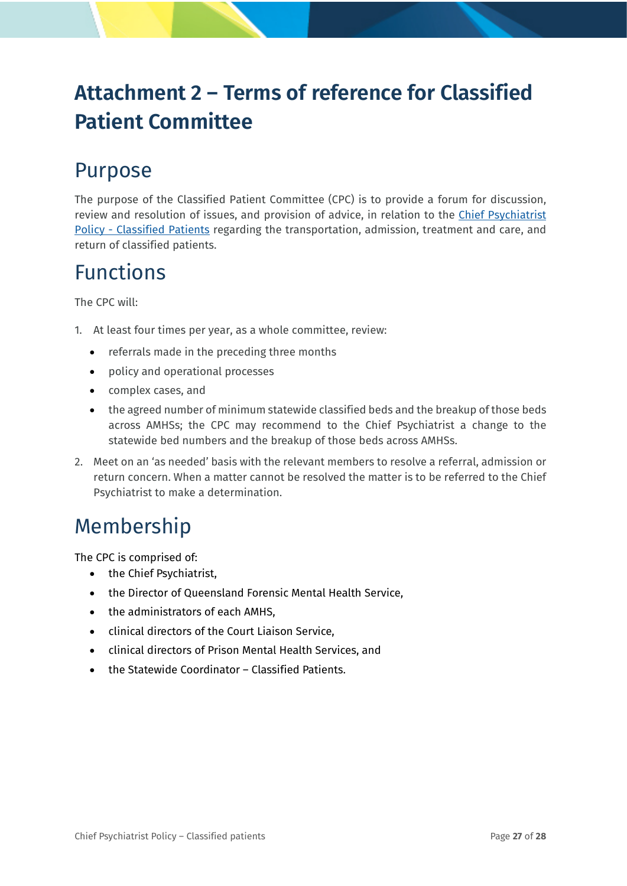# <span id="page-26-0"></span>**Attachment 2 – Terms of reference for Classified Patient Committee**

# Purpose

The purpose of the Classified Patient Committee (CPC) is to provide a forum for discussion, review and resolution of issues, and provision of advice, in relation to the [Chief Psychiatrist](https://www.health.qld.gov.au/__data/assets/pdf_file/0025/465172/cpp-classified-patients.pdf)  Policy - [Classified Patients](https://www.health.qld.gov.au/__data/assets/pdf_file/0025/465172/cpp-classified-patients.pdf) regarding the transportation, admission, treatment and care, and return of classified patients.

# Functions

The CPC will:

- 1. At least four times per year, as a whole committee, review:
	- referrals made in the preceding three months
	- policy and operational processes
	- complex cases, and
	- the agreed number of minimum statewide classified beds and the breakup of those beds across AMHSs; the CPC may recommend to the Chief Psychiatrist a change to the statewide bed numbers and the breakup of those beds across AMHSs.
- 2. Meet on an 'as needed' basis with the relevant members to resolve a referral, admission or return concern. When a matter cannot be resolved the matter is to be referred to the Chief Psychiatrist to make a determination.

## Membership

The CPC is comprised of:

- the Chief Psychiatrist,
- the Director of Queensland Forensic Mental Health Service,
- the administrators of each AMHS,
- clinical directors of the Court Liaison Service,
- clinical directors of Prison Mental Health Services, and
- the Statewide Coordinator Classified Patients.